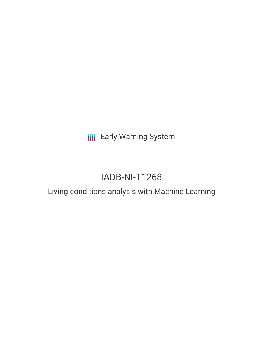**III** Early Warning System

# IADB-NI-T1268

## Living conditions analysis with Machine Learning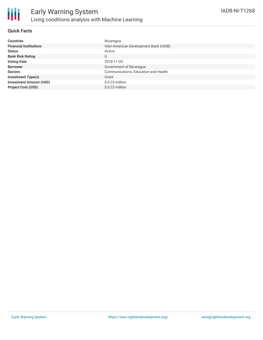

#### **Quick Facts**

| <b>Countries</b>               | Nicaragua                              |
|--------------------------------|----------------------------------------|
| <b>Financial Institutions</b>  | Inter-American Development Bank (IADB) |
| <b>Status</b>                  | Active                                 |
| <b>Bank Risk Rating</b>        | U                                      |
| <b>Voting Date</b>             | 2018-11-20                             |
| <b>Borrower</b>                | Government of Nicaragua                |
| <b>Sectors</b>                 | Communications, Education and Health   |
| <b>Investment Type(s)</b>      | Grant                                  |
| <b>Investment Amount (USD)</b> | $$0.23$ million                        |
| <b>Project Cost (USD)</b>      | $$0.23$ million                        |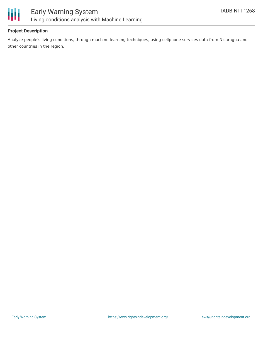

### **Project Description**

Analyze people's living conditions, through machine learning techniques, using cellphone services data from Nicaragua and other countries in the region.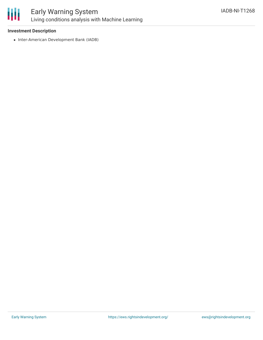

### Early Warning System Living conditions analysis with Machine Learning

### **Investment Description**

• Inter-American Development Bank (IADB)